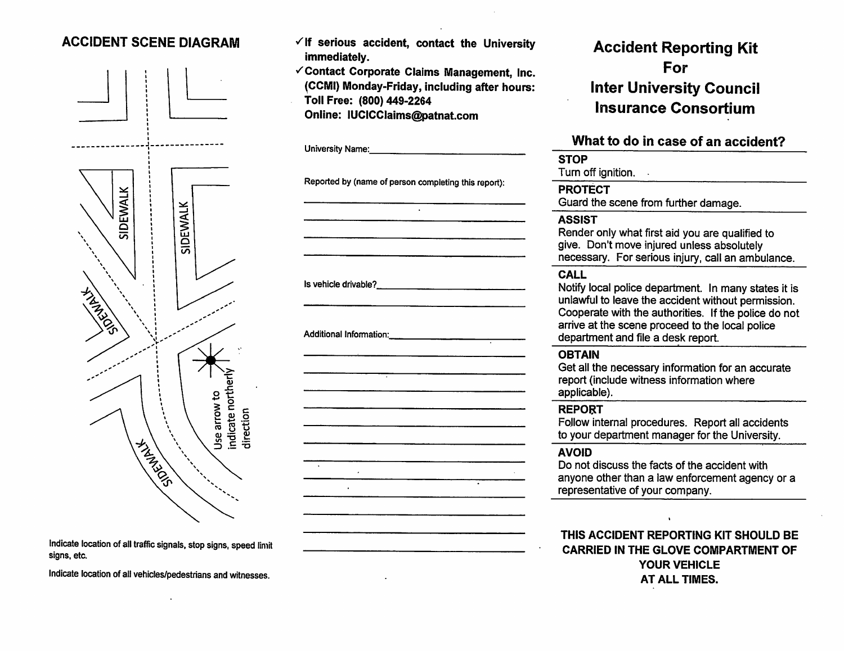## ACCIDENT SCENE DIAGRAM



Indicate location of all traffic signals, stop signs, speed limitsigns, etc.

Indicate location of all vehicles/pedestrians and witnesses.

- $\checkmark$  If serious accident, contact the University immediately.
- $\checkmark$  Contact Corporate Claims Management, Inc. (CCMI) Monday-Friday, including after hours:Toll Free: (800) 449-2264 Online: iUCICCIaims@patnat.com

| Reported by (name of person completing this report): |                     |
|------------------------------------------------------|---------------------|
| $\ddot{\phantom{0}}$                                 |                     |
|                                                      |                     |
|                                                      |                     |
|                                                      |                     |
|                                                      |                     |
|                                                      |                     |
|                                                      |                     |
| ╤                                                    |                     |
|                                                      |                     |
|                                                      |                     |
|                                                      |                     |
|                                                      |                     |
| $\cdot$                                              |                     |
| $\bullet$                                            |                     |
|                                                      |                     |
|                                                      |                     |
|                                                      | $\overline{a}$<br>7 |

# Accident Reporting KitFor Inter University CouncilInsurance Consortium

## What to do in case of an accident?**STOP**  Turn off ignition.PROTECT Guard the scene from further damage.ASSIST Render only what first aid you are qualified togive. Don't move injured unless absolutely necessary. For serious injury, call an ambulance.CALL Notify local police department. In many states it is unlawful to leave the accident without permission. Cooperate with the authorities. If the police do notarrive at the scene proceed to the local policedepartment and file a desk report.OBTAIN Get ail the necessary information for an accuratereport (include witness information whereapplicable).REPORT Follow Internal procedures. Report all accidentsto your department manager for the University.AVOID Do not discuss the facts of the accident with anyone other than a law enforcement agency or arepresentative of your company.

### THIS ACCIDENT REPORTING KIT SHOULD BE CARRIED IN THE GLOVE COMPARTMENT OFYOUR VEHICLEAT ALL TIMES.